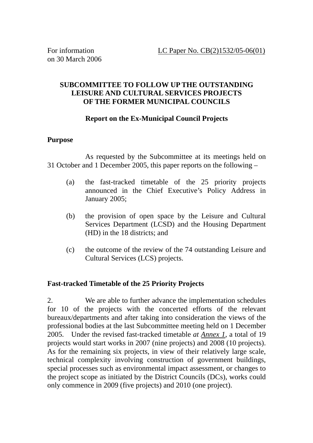# **SUBCOMMITTEE TO FOLLOW UP THE OUTSTANDING LEISURE AND CULTURAL SERVICES PROJECTS OF THE FORMER MUNICIPAL COUNCILS**

# **Report on the Ex-Municipal Council Projects**

# **Purpose**

 As requested by the Subcommittee at its meetings held on 31 October and 1 December 2005, this paper reports on the following –

- (a) the fast-tracked timetable of the 25 priority projects announced in the Chief Executive's Policy Address in January 2005;
- (b) the provision of open space by the Leisure and Cultural Services Department (LCSD) and the Housing Department (HD) in the 18 districts; and
- (c) the outcome of the review of the 74 outstanding Leisure and Cultural Services (LCS) projects.

# **Fast-tracked Timetable of the 25 Priority Projects**

2. We are able to further advance the implementation schedules for 10 of the projects with the concerted efforts of the relevant bureaux/departments and after taking into consideration the views of the professional bodies at the last Subcommittee meeting held on 1 December 2005. Under the revised fast-tracked timetable *at Annex 1*, a total of 19 projects would start works in 2007 (nine projects) and 2008 (10 projects). As for the remaining six projects, in view of their relatively large scale, technical complexity involving construction of government buildings, special processes such as environmental impact assessment, or changes to the project scope as initiated by the District Councils (DCs), works could only commence in 2009 (five projects) and 2010 (one project).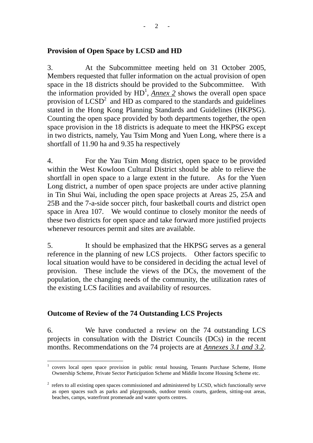#### **Provision of Open Space by LCSD and HD**

3. At the Subcommittee meeting held on 31 October 2005, Members requested that fuller information on the actual provision of open space in the 18 districts should be provided to the Subcommittee. With the information provided by  $HD<sup>1</sup>$ ,  $\overline{Annex 2}$  shows the overall open space provision of  $L\overline{CSD}^2$  and HD as compared to the standards and guidelines stated in the Hong Kong Planning Standards and Guidelines (HKPSG). Counting the open space provided by both departments together, the open space provision in the 18 districts is adequate to meet the HKPSG except in two districts, namely, Yau Tsim Mong and Yuen Long, where there is a shortfall of 11.90 ha and 9.35 ha respectively

4. For the Yau Tsim Mong district, open space to be provided within the West Kowloon Cultural District should be able to relieve the shortfall in open space to a large extent in the future. As for the Yuen Long district, a number of open space projects are under active planning in Tin Shui Wai, including the open space projects at Areas 25, 25A and 25B and the 7-a-side soccer pitch, four basketball courts and district open space in Area 107. We would continue to closely monitor the needs of these two districts for open space and take forward more justified projects whenever resources permit and sites are available.

5. It should be emphasized that the HKPSG serves as a general reference in the planning of new LCS projects. Other factors specific to local situation would have to be considered in deciding the actual level of provision. These include the views of the DCs, the movement of the population, the changing needs of the community, the utilization rates of the existing LCS facilities and availability of resources.

#### **Outcome of Review of the 74 Outstanding LCS Projects**

6. We have conducted a review on the 74 outstanding LCS projects in consultation with the District Councils (DCs) in the recent months. Recommendations on the 74 projects are at *Annexes 3.1 and 3.2*.

 $\overline{a}$ 1 covers local open space provision in public rental housing, Tenants Purchase Scheme, Home Ownership Scheme, Private Sector Participation Scheme and Middle Income Housing Scheme etc.

 $2$  refers to all existing open spaces commissioned and administered by LCSD, which functionally serve as open spaces such as parks and playgrounds, outdoor tennis courts, gardens, sitting-out areas, beaches, camps, waterfront promenade and water sports centres.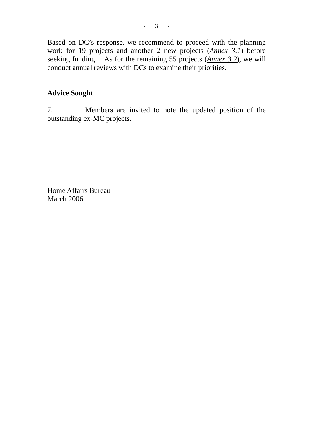Based on DC's response, we recommend to proceed with the planning work for 19 projects and another 2 new projects (*Annex 3.1*) before seeking funding. As for the remaining 55 projects (*Annex 3.2*), we will conduct annual reviews with DCs to examine their priorities.

## **Advice Sought**

7. Members are invited to note the updated position of the outstanding ex-MC projects.

Home Affairs Bureau March 2006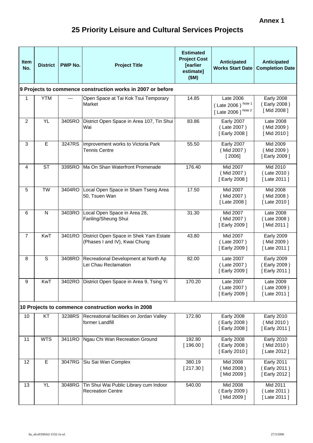# **25 Priority Leisure and Cultural Services Projects**

| <b>Item</b><br>No. | <b>District</b> | <b>PWP No.</b> | <b>Project Title</b>                                                    | <b>Estimated</b><br><b>Project Cost</b><br>[earlier<br>estimate]<br>(SM) | <b>Anticipated</b><br><b>Works Start Date</b>           | Anticipated<br><b>Completion Date</b>             |
|--------------------|-----------------|----------------|-------------------------------------------------------------------------|--------------------------------------------------------------------------|---------------------------------------------------------|---------------------------------------------------|
|                    |                 |                | 9 Projects to commence construction works in 2007 or before             |                                                                          |                                                         |                                                   |
| 1                  | <b>YTM</b>      | ---            | Open Space at Tai Kok Tsui Temporary<br>Market                          | 14.85                                                                    | Late 2006<br>(Late 2006) Note 1<br>[ Late 2006 ] Note 2 | <b>Early 2008</b><br>(Early 2008)<br>[Mid 2008]   |
| $\overline{2}$     | <b>YL</b>       | 3405RO         | District Open Space in Area 107, Tin Shui<br>Wai                        | 83.86                                                                    | <b>Early 2007</b><br>(Late 2007)<br>[Early 2008]        | Late 2008<br>(Mid 2009)<br>[Mid 2010]             |
| 3                  | E               | 3247RS         | Improvement works to Victoria Park<br><b>Tennis Centre</b>              | 55.50                                                                    | <b>Early 2007</b><br>(Mid 2007)<br>[2006]               | Mid 2009<br>(Mid 2009)<br>[Early 2009]            |
| 4                  | <b>ST</b>       | 3395RO         | Ma On Shan Waterfront Promenade                                         | 176.40                                                                   | Mid 2007<br>(Mid 2007)<br>[Early 2008]                  | Mid 2010<br>(Late 2010)<br>[ Late 2011 ]          |
| 5                  | <b>TW</b>       | 3404RO         | Local Open Space in Sham Tseng Area<br>50, Tsuen Wan                    | 17.50                                                                    | Mid 2007<br>(Mid 2007)<br>[ Late 2008 ]                 | Mid 2008<br>(Mid 2008)<br>[ Late 2010 ]           |
| 6                  | $\mathsf{N}$    | 3403RO         | Local Open Space in Area 28,<br>Fanling/Sheung Shui                     | 31.30                                                                    | Mid 2007<br>(Mid 2007)<br>[Early 2009]                  | Late 2008<br>(Late 2008)<br>[Mid 2011]            |
| $\overline{7}$     | <b>KwT</b>      | 3401RO         | District Open Space in Shek Yam Estate<br>(Phases I and IV), Kwai Chung | 43.80                                                                    | Mid 2007<br>(Late 2007)<br>[Early 2009]                 | <b>Early 2009</b><br>(Mid 2009)<br>[ Late 2011 ]  |
| 8                  | $\mathsf S$     | 3408RO         | Recreational Development at North Ap<br>Lei Chau Reclamation            | 82.00                                                                    | Late 2007<br>(Late 2007)<br>[Early 2009]                | <b>Early 2009</b><br>(Early 2009)<br>[Early 2011] |
| 9                  | KwT             |                | 3402RO District Open Space in Area 9, Tsing Yi                          | 170.20                                                                   | Late 2007<br>(Late 2007)<br>[Early 2009]                | Late 2009<br>(Late 2009)<br>[ Late 2011 ]         |
|                    |                 |                | 10 Projects to commence construction works in 2008                      |                                                                          |                                                         |                                                   |
| 10                 | KT              | 3238RS         | Recreational facilities on Jordan Valley<br>former Landfill             | 172.80                                                                   | <b>Early 2008</b><br>Early 2008)<br>[Early 2008]        | <b>Early 2010</b><br>(Mid 2010)<br>[Early 2011]   |
| 11                 | <b>WTS</b>      | 3411RO         | Ngau Chi Wan Recreation Ground                                          | 192.80<br>[196.00]                                                       | <b>Early 2008</b><br>Early 2008)<br>[Early 2010]        | <b>Early 2010</b><br>(Mid 2010)<br>[ Late 2012 ]  |
| 12                 | E               | 3047RG         | Siu Sai Wan Complex                                                     | 380.19<br>[217.30]                                                       | Mid 2008<br>(Mid 2008)<br>[Mid 2009]                    | <b>Early 2011</b><br>(Early 2011)<br>[Early 2012] |
| 13                 | <b>YL</b>       | 3048RG         | Tin Shui Wai Public Library cum Indoor<br><b>Recreation Centre</b>      | 540.00                                                                   | Mid 2008<br>(Early 2009)<br>[Mid 2009]                  | Mid 2011<br>(Late 2011)<br>[ Late 2011 ]          |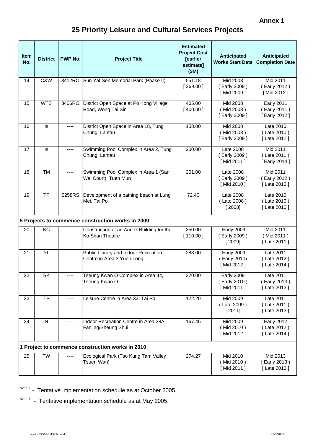# **25 Priority Leisure and Cultural Services Projects**

| <b>Item</b><br>No. | <b>District</b>                                   | <b>PWP No.</b> | <b>Project Title</b>                                               | <b>Estimated</b><br><b>Project Cost</b><br>[earlier<br>estimate]<br>(SM) | Anticipated<br><b>Works Start Date</b>          | Anticipated<br><b>Completion Date</b>             |
|--------------------|---------------------------------------------------|----------------|--------------------------------------------------------------------|--------------------------------------------------------------------------|-------------------------------------------------|---------------------------------------------------|
| 14                 | C&W                                               | 3412RO         | Sun Yat Sen Memorial Park (Phase II)                               | 551.18<br>[369.00]                                                       | Mid 2008<br>(Early 2009)<br>[Mid 2009]          | Mid 2011<br>(Early 2012)<br>[Mid 2012]            |
| 15                 | <b>WTS</b>                                        | 3406RO         | District Open Space at Po Kong Village<br>Road, Wong Tai Sin       | 405.00<br>[400.00]                                                       | Mid 2008<br>(Mid 2008)<br>[Early 2009]          | <b>Early 2011</b><br>(Early 2011)<br>[Early 2012] |
| 16                 | Is                                                | ----           | District Open Space in Area 18, Tung<br>Chung, Lantau              | 158.00                                                                   | Mid 2008<br>(Mid 2008)<br>[Early 2009]          | Late 2010<br>(Late 2010)<br>[ Late 2011 ]         |
| 17                 | Is                                                | ----           | Swimming Pool Complex in Area 2, Tung<br>Chung, Lantau             | 200.00                                                                   | Late 2008<br>(Early 2009)<br>[Mid 2011]         | Mid 2011<br>(Late 2011)<br>[Early 2014]           |
| 18                 | <b>TM</b>                                         | ----           | Swimming Pool Complex in Area 1 (San<br>Wai Court), Tuen Mun       | 261.00                                                                   | Late 2008<br>(Early 2009)<br>[Mid 2010]         | Mid 2011<br>(Early 2012)<br>[ Late 2012 ]         |
| 19                 | <b>TP</b>                                         | 5258RS         | Development of a bathing beach at Lung<br>Mei, Tai Po              | 72.40                                                                    | Late 2008<br>(Late 2008)<br>[2008]              | Late 2010<br>(Late 2010)<br>[ Late 2010 ]         |
|                    | 5 Projects to commence construction works in 2009 |                |                                                                    |                                                                          |                                                 |                                                   |
| 20                 | KC                                                |                | Construction of an Annex Building for the<br>Ko Shan Theatre       | 350.00<br>[110.00]                                                       | <b>Early 2009</b><br>(Early 2009)<br>[2009]     | Mid 2011<br>(Mid 2011)<br>[ Late 2011 ]           |
| 21                 | <b>YL</b>                                         | $---$          | Public Library and Indoor Recreation<br>Centre in Area 3 Yuen Long | 288.00                                                                   | <b>Early 2009</b><br>Early 2010)<br>[Mid 2012]  | Late 2011<br>(Late 2012)<br>[ Late 2014 ]         |
| 22                 | SK                                                |                | Tseung Kwan O Complex in Area 44,<br>Tseung Kwan O                 | 370.00                                                                   | <b>Early 2009</b><br>(Early 2010)<br>[Mid 2011] | Late 2011<br>(Early 2013)<br>[ Late 2013 ]        |
| 23                 | <b>TP</b>                                         | ----           | Leisure Centre in Area 33, Tai Po                                  | 122.20                                                                   | Mid 2009<br>(Late 2009)<br>[2011]               | Late 2011<br>(Late 2011)<br>[Late 2013]           |
| 24                 | ${\sf N}$                                         |                | Indoor Recreation Centre in Area 28A,<br>Fanling/Sheung Shui       | 167.45                                                                   | Mid 2009<br>(Mid 2010)<br>[Mid 2012]            | <b>Early 2012</b><br>(Late 2012)<br>[ Late 2014 ] |
|                    |                                                   |                | 1 Project to commence construction works in 2010                   |                                                                          |                                                 |                                                   |
| 25                 | <b>TW</b>                                         |                | Ecological Park (Tso Kung Tam Valley<br>Tsuen Wan)                 | 274.27                                                                   | Mid 2010<br>(Mid 2010)<br>[Mid 2011]            | Mid 2013<br>[Early 2013)<br>[Late 2013]           |

Note 1 - Tentative implementation schedule as at October 2005.

Note 2 - Tentative implementation schedule as at May 2005.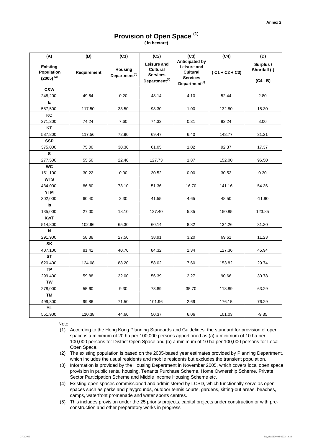# **Provision of Open Space (1)**

**( in hectare)**

| (A)                                                    | (B)                | (C1)                                        | (C2)                                                                                  | (C3)                                                                                                    | (C4)             | (D)                                      |
|--------------------------------------------------------|--------------------|---------------------------------------------|---------------------------------------------------------------------------------------|---------------------------------------------------------------------------------------------------------|------------------|------------------------------------------|
| <b>Existing</b><br><b>Population</b><br>$(2005)^{(2)}$ | <b>Requirement</b> | <b>Housing</b><br>Department <sup>(3)</sup> | <b>Leisure and</b><br><b>Cultural</b><br><b>Services</b><br>Department <sup>(4)</sup> | <b>Anticipated by</b><br>Leisure and<br><b>Cultural</b><br><b>Services</b><br>Department <sup>(5)</sup> | $(C1 + C2 + C3)$ | Surplus /<br>Shortfall (-)<br>$(C4 - B)$ |
| C&W                                                    |                    |                                             |                                                                                       |                                                                                                         |                  |                                          |
| 248,200                                                | 49.64              | 0.20                                        | 48.14                                                                                 | 4.10                                                                                                    | 52.44            | 2.80                                     |
| E                                                      |                    |                                             |                                                                                       |                                                                                                         |                  |                                          |
| 587,500                                                | 117.50             | 33.50                                       | 98.30                                                                                 | 1.00                                                                                                    | 132.80           | 15.30                                    |
| KC                                                     |                    |                                             |                                                                                       |                                                                                                         |                  |                                          |
| 371,200                                                | 74.24              | 7.60                                        | 74.33                                                                                 | 0.31                                                                                                    | 82.24            | 8.00                                     |
| <b>KT</b>                                              |                    |                                             |                                                                                       |                                                                                                         |                  |                                          |
| 587,800                                                | 117.56             | 72.90                                       | 69.47                                                                                 | 6.40                                                                                                    | 148.77           | 31.21                                    |
| <b>SSP</b>                                             |                    |                                             |                                                                                       |                                                                                                         |                  |                                          |
| 375,000                                                | 75.00              | 30.30                                       | 61.05                                                                                 | 1.02                                                                                                    | 92.37            | 17.37                                    |
| $\mathbf{s}$                                           |                    |                                             |                                                                                       |                                                                                                         |                  |                                          |
| 277,500<br><b>WC</b>                                   | 55.50              | 22.40                                       | 127.73                                                                                | 1.87                                                                                                    | 152.00           | 96.50                                    |
| 151,100                                                | 30.22              | 0.00                                        | 30.52                                                                                 | 0.00                                                                                                    | 30.52            | 0.30                                     |
| <b>WTS</b>                                             |                    |                                             |                                                                                       |                                                                                                         |                  |                                          |
| 434,000                                                | 86.80              | 73.10                                       | 51.36                                                                                 | 16.70                                                                                                   | 141.16           | 54.36                                    |
| <b>YTM</b>                                             |                    |                                             |                                                                                       |                                                                                                         |                  |                                          |
| 302,000                                                | 60.40              | 2.30                                        | 41.55                                                                                 | 4.65                                                                                                    | 48.50            | $-11.90$                                 |
| $\mathsf{ls}$                                          |                    |                                             |                                                                                       |                                                                                                         |                  |                                          |
| 135,000                                                | 27.00              | 18.10                                       | 127.40                                                                                | 5.35                                                                                                    | 150.85           | 123.85                                   |
| <b>KwT</b>                                             |                    |                                             |                                                                                       |                                                                                                         |                  |                                          |
| 514,800                                                | 102.96             | 65.30                                       | 60.14                                                                                 | 8.82                                                                                                    | 134.26           | 31.30                                    |
| $\mathsf{N}$                                           |                    |                                             |                                                                                       |                                                                                                         |                  |                                          |
| 291,900                                                | 58.38              | 27.50                                       | 38.91                                                                                 | 3.20                                                                                                    | 69.61            | 11.23                                    |
| <b>SK</b>                                              |                    |                                             |                                                                                       |                                                                                                         |                  |                                          |
| 407,100                                                | 81.42              | 40.70                                       | 84.32                                                                                 | 2.34                                                                                                    | 127.36           | 45.94                                    |
| <b>ST</b>                                              |                    |                                             |                                                                                       |                                                                                                         |                  |                                          |
| 620,400                                                | 124.08             | 88.20                                       | 58.02                                                                                 | 7.60                                                                                                    | 153.82           | 29.74                                    |
| <b>TP</b>                                              |                    |                                             |                                                                                       |                                                                                                         |                  |                                          |
| 299,400                                                | 59.88              | 32.00                                       | 56.39                                                                                 | 2.27                                                                                                    | 90.66            | 30.78                                    |
| <b>TW</b>                                              |                    |                                             |                                                                                       |                                                                                                         |                  |                                          |
| 278,000<br><b>TM</b>                                   | 55.60              | 9.30                                        | 73.89                                                                                 | 35.70                                                                                                   | 118.89           | 63.29                                    |
| 499,300                                                | 99.86              | 71.50                                       | 101.96                                                                                | 2.69                                                                                                    | 176.15           | 76.29                                    |
| YL                                                     |                    |                                             |                                                                                       |                                                                                                         |                  |                                          |
| 551,900                                                | 110.38             | 44.60                                       | 50.37                                                                                 | 6.06                                                                                                    | 101.03           | $-9.35$                                  |

**Note** 

(1) According to the Hong Kong Planning Standards and Guidelines, the standard for provision of open

- space is a minimum of 20 ha per 100,000 persons apportioned as (a) a minimum of 10 ha per 100,000 persons for District Open Space and (b) a minimum of 10 ha per 100,000 persons for Local Open Space.
- (2) The existing population is based on the 2005-based year estimates provided by Planning Department, which includes the usual residents and mobile residents but excludes the transient population.
- (3) Information is provided by the Housing Department in November 2005, which covers local open space provision in public rental housing, Tenants Purchase Scheme, Home Ownership Scheme, Private Sector Participation Scheme and Middle Income Housing Scheme etc.
- (4) Existing open spaces commissioned and administered by LCSD, which functionally serve as open spaces such as parks and playgrounds, outdoor tennis courts, gardens, sitting-out areas, beaches, camps, waterfront promenade and water sports centres.
- (5) This includes provision under the 25 priority projects, capital projects under construction or with preconstruction and other preparatory works in progress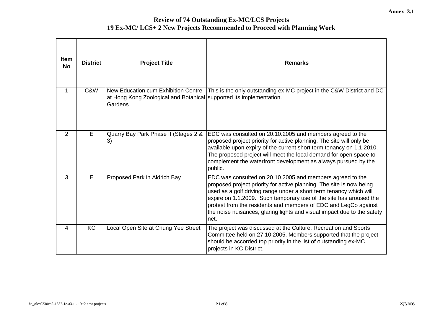| <b>Item</b><br><b>No</b> | <b>District</b> | <b>Project Title</b>                                                                                                  | <b>Remarks</b>                                                                                                                                                                                                                                                                                                                                                                                                                      |
|--------------------------|-----------------|-----------------------------------------------------------------------------------------------------------------------|-------------------------------------------------------------------------------------------------------------------------------------------------------------------------------------------------------------------------------------------------------------------------------------------------------------------------------------------------------------------------------------------------------------------------------------|
| 1                        | C&W             | New Education cum Exhibition Centre<br>at Hong Kong Zoological and Botanical supported its implementation.<br>Gardens | This is the only outstanding ex-MC project in the C&W District and DC                                                                                                                                                                                                                                                                                                                                                               |
| $\overline{2}$           | E               | Quarry Bay Park Phase II (Stages 2 &<br>3)                                                                            | EDC was consulted on 20.10.2005 and members agreed to the<br>proposed project priority for active planning. The site will only be<br>available upon expiry of the current short term tenancy on 1.1.2010.<br>The proposed project will meet the local demand for open space to<br>complement the waterfront development as always pursued by the<br>public.                                                                         |
| 3                        | Е               | Proposed Park in Aldrich Bay                                                                                          | EDC was consulted on 20.10.2005 and members agreed to the<br>proposed project priority for active planning. The site is now being<br>used as a golf driving range under a short term tenancy which will<br>expire on 1.1.2009. Such temporary use of the site has aroused the<br>protest from the residents and members of EDC and LegCo against<br>the noise nuisances, glaring lights and visual impact due to the safety<br>net. |
| 4                        | <b>KC</b>       | Local Open Site at Chung Yee Street                                                                                   | The project was discussed at the Culture, Recreation and Sports<br>Committee held on 27.10.2005. Members supported that the project<br>should be accorded top priority in the list of outstanding ex-MC<br>projects in KC District.                                                                                                                                                                                                 |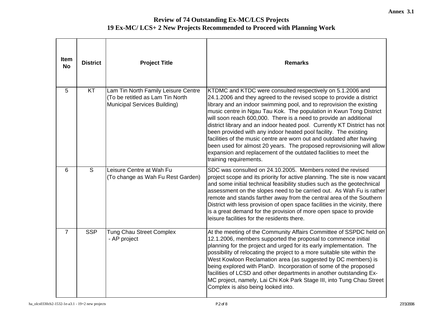| <b>Item</b><br><b>No</b> | <b>District</b> | <b>Project Title</b>                                                                                    | <b>Remarks</b>                                                                                                                                                                                                                                                                                                                                                                                                                                                                                                                                                                                                                                                                                                                                         |
|--------------------------|-----------------|---------------------------------------------------------------------------------------------------------|--------------------------------------------------------------------------------------------------------------------------------------------------------------------------------------------------------------------------------------------------------------------------------------------------------------------------------------------------------------------------------------------------------------------------------------------------------------------------------------------------------------------------------------------------------------------------------------------------------------------------------------------------------------------------------------------------------------------------------------------------------|
| 5                        | KT              | Lam Tin North Family Leisure Centre<br>(To be retitled as Lam Tin North<br>Municipal Services Building) | KTDMC and KTDC were consulted respectively on 5.1.2006 and<br>24.1.2006 and they agreed to the revised scope to provide a district<br>library and an indoor swimming pool, and to reprovision the existing<br>music centre in Ngau Tau Kok. The population in Kwun Tong District<br>will soon reach 600,000. There is a need to provide an additional<br>district library and an indoor heated pool. Currently KT District has not<br>been provided with any indoor heated pool facility. The existing<br>facilities of the music centre are worn out and outdated after having<br>been used for almost 20 years. The proposed reprovisioning will allow<br>expansion and replacement of the outdated facilities to meet the<br>training requirements. |
| 6                        | S               | Leisure Centre at Wah Fu<br>(To change as Wah Fu Rest Garden)                                           | SDC was consulted on 24.10.2005. Members noted the revised<br>project scope and its priority for active planning. The site is now vacant<br>and some initial technical feasibility studies such as the geotechnical<br>assessment on the slopes need to be carried out. As Wah Fu is rather<br>remote and stands farther away from the central area of the Southern<br>District with less provision of open space facilities in the vicinity, there<br>is a great demand for the provision of more open space to provide<br>leisure facilities for the residents there.                                                                                                                                                                                |
| $\overline{7}$           | <b>SSP</b>      | <b>Tung Chau Street Complex</b><br>- AP project                                                         | At the meeting of the Community Affairs Committee of SSPDC held on<br>12.1.2006, members supported the proposal to commence initial<br>planning for the project and urged for its early implementation. The<br>possibility of relocating the project to a more suitable site within the<br>West Kowloon Reclamation area (as suggested by DC members) is<br>being explored with PlanD. Incorporation of some of the proposed<br>facilities of LCSD and other departments in another outstanding Ex-<br>MC project, namely, Lai Chi Kok Park Stage III, into Tung Chau Street<br>Complex is also being looked into.                                                                                                                                     |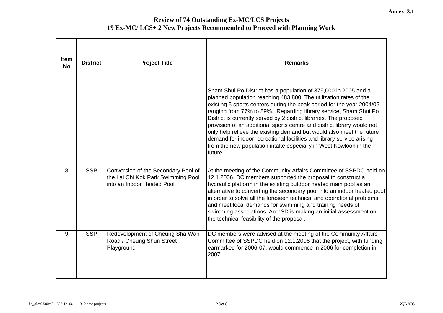| <b>Item</b><br><b>No</b> | <b>District</b> | <b>Project Title</b>                                                                                    | <b>Remarks</b>                                                                                                                                                                                                                                                                                                                                                                                                                                                                                                                                                                                                                                                     |
|--------------------------|-----------------|---------------------------------------------------------------------------------------------------------|--------------------------------------------------------------------------------------------------------------------------------------------------------------------------------------------------------------------------------------------------------------------------------------------------------------------------------------------------------------------------------------------------------------------------------------------------------------------------------------------------------------------------------------------------------------------------------------------------------------------------------------------------------------------|
|                          |                 |                                                                                                         | Sham Shui Po District has a population of 375,000 in 2005 and a<br>planned population reaching 483,800. The utilization rates of the<br>existing 5 sports centers during the peak period for the year 2004/05<br>ranging from 77% to 89%. Regarding library service, Sham Shui Po<br>District is currently served by 2 district libraries. The proposed<br>provision of an additional sports centre and district library would not<br>only help relieve the existing demand but would also meet the future<br>demand for indoor recreational facilities and library service arising<br>from the new population intake especially in West Kowloon in the<br>future. |
| 8                        | <b>SSP</b>      | Conversion of the Secondary Pool of<br>the Lai Chi Kok Park Swimming Pool<br>into an Indoor Heated Pool | At the meeting of the Community Affairs Committee of SSPDC held on<br>12.1.2006, DC members supported the proposal to construct a<br>hydraulic platform in the existing outdoor heated main pool as an<br>alternative to converting the secondary pool into an indoor heated pool<br>in order to solve all the foreseen technical and operational problems<br>and meet local demands for swimming and training needs of<br>swimming associations. ArchSD is making an initial assessment on<br>the technical feasibility of the proposal.                                                                                                                          |
| 9                        | <b>SSP</b>      | Redevelopment of Cheung Sha Wan<br>Road / Cheung Shun Street<br>Playground                              | DC members were advised at the meeting of the Community Affairs<br>Committee of SSPDC held on 12.1.2006 that the project, with funding<br>earmarked for 2006-07, would commence in 2006 for completion in<br>2007.                                                                                                                                                                                                                                                                                                                                                                                                                                                 |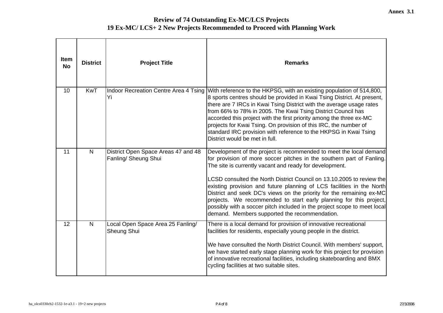| <b>Item</b><br><b>No</b> | <b>District</b> | <b>Project Title</b>                                        | <b>Remarks</b>                                                                                                                                                                                                                                                                                                                                                                                                                                                                                                                                                                                                                      |
|--------------------------|-----------------|-------------------------------------------------------------|-------------------------------------------------------------------------------------------------------------------------------------------------------------------------------------------------------------------------------------------------------------------------------------------------------------------------------------------------------------------------------------------------------------------------------------------------------------------------------------------------------------------------------------------------------------------------------------------------------------------------------------|
| 10                       | <b>KwT</b>      | Yi                                                          | Indoor Recreation Centre Area 4 Tsing With reference to the HKPSG, with an existing population of 514,800,<br>8 sports centres should be provided in Kwai Tsing District. At present,<br>there are 7 IRCs in Kwai Tsing District with the average usage rates<br>from 66% to 78% in 2005. The Kwai Tsing District Council has<br>accorded this project with the first priority among the three ex-MC<br>projects for Kwai Tsing. On provision of this IRC, the number of<br>standard IRC provision with reference to the HKPSG in Kwai Tsing<br>District would be met in full.                                                      |
| 11                       | N               | District Open Space Areas 47 and 48<br>Fanling/ Sheung Shui | Development of the project is recommended to meet the local demand<br>for provision of more soccer pitches in the southern part of Fanling.<br>The site is currently vacant and ready for development.<br>LCSD consulted the North District Council on 13.10.2005 to review the<br>existing provision and future planning of LCS facilities in the North<br>District and seek DC's views on the priority for the remaining ex-MC<br>projects. We recommended to start early planning for this project,<br>possibly with a soccer pitch included in the project scope to meet local<br>demand. Members supported the recommendation. |
| 12                       | $\mathsf{N}$    | Local Open Space Area 25 Fanling/<br>Sheung Shui            | There is a local demand for provision of innovative recreational<br>facilities for residents, especially young people in the district.<br>We have consulted the North District Council. With members' support,<br>we have started early stage planning work for this project for provision<br>of innovative recreational facilities, including skateboarding and BMX<br>cycling facilities at two suitable sites.                                                                                                                                                                                                                   |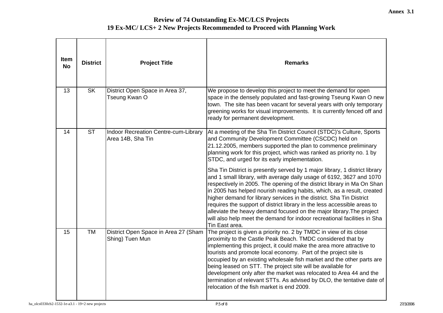| <b>Item</b><br><b>No</b> | <b>District</b>        | <b>Project Title</b>                                      | <b>Remarks</b>                                                                                                                                                                                                                                                                                                                                                                                                                                                                                                                                                                                                                     |
|--------------------------|------------------------|-----------------------------------------------------------|------------------------------------------------------------------------------------------------------------------------------------------------------------------------------------------------------------------------------------------------------------------------------------------------------------------------------------------------------------------------------------------------------------------------------------------------------------------------------------------------------------------------------------------------------------------------------------------------------------------------------------|
| 13                       | <b>SK</b>              | District Open Space in Area 37,<br>Tseung Kwan O          | We propose to develop this project to meet the demand for open<br>space in the densely populated and fast-growing Tseung Kwan O new<br>town. The site has been vacant for several years with only temporary<br>greening works for visual improvements. It is currently fenced off and<br>ready for permanent development.                                                                                                                                                                                                                                                                                                          |
| 14                       | $\overline{\text{ST}}$ | Indoor Recreation Centre-cum-Library<br>Area 14B, Sha Tin | At a meeting of the Sha Tin District Council (STDC)'s Culture, Sports<br>and Community Development Committee (CSCDC) held on<br>21.12.2005, members supported the plan to commence preliminary<br>planning work for this project, which was ranked as priority no. 1 by<br>STDC, and urged for its early implementation.                                                                                                                                                                                                                                                                                                           |
|                          |                        |                                                           | Sha Tin District is presently served by 1 major library, 1 district library<br>and 1 small library, with average daily usage of 6192, 3627 and 1070<br>respectively in 2005. The opening of the district library in Ma On Shan<br>in 2005 has helped nourish reading habits, which, as a result, created<br>higher demand for library services in the district. Sha Tin District<br>requires the support of district library in the less accessible areas to<br>alleviate the heavy demand focused on the major library. The project<br>will also help meet the demand for indoor recreational facilities in Sha<br>Tin East area. |
| 15                       | <b>TM</b>              | District Open Space in Area 27 (Sham<br>Shing) Tuen Mun   | The project is given a priority no. 2 by TMDC in view of its close<br>proximity to the Castle Peak Beach. TMDC considered that by<br>implementing this project, it could make the area more attractive to<br>tourists and promote local economy. Part of the project site is<br>occupied by an existing wholesale fish market and the other parts are<br>being leased on STT. The project site will be available for<br>development only after the market was relocated to Area 44 and the<br>termination of relevant STTs. As advised by DLO, the tentative date of<br>relocation of the fish market is end 2009.                 |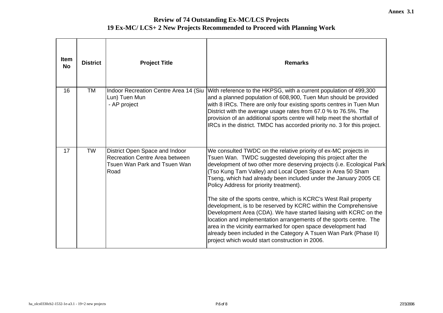| Item<br><b>No</b> | <b>District</b> | <b>Project Title</b>                                                                                     | <b>Remarks</b>                                                                                                                                                                                                                                                                                                                                                                                                                                                                                                                                                                                                                                                                                                                                                                                                                                                    |
|-------------------|-----------------|----------------------------------------------------------------------------------------------------------|-------------------------------------------------------------------------------------------------------------------------------------------------------------------------------------------------------------------------------------------------------------------------------------------------------------------------------------------------------------------------------------------------------------------------------------------------------------------------------------------------------------------------------------------------------------------------------------------------------------------------------------------------------------------------------------------------------------------------------------------------------------------------------------------------------------------------------------------------------------------|
| 16                | <b>TM</b>       | Indoor Recreation Centre Area 14 (Siu<br>Lun) Tuen Mun<br>- AP project                                   | With reference to the HKPSG, with a current population of 499,300<br>and a planned population of 608,900, Tuen Mun should be provided<br>with 8 IRCs. There are only four existing sports centres in Tuen Mun<br>District with the average usage rates from 67.0 % to 76.5%. The<br>provision of an additional sports centre will help meet the shortfall of<br>IRCs in the district. TMDC has accorded priority no. 3 for this project.                                                                                                                                                                                                                                                                                                                                                                                                                          |
| 17                | <b>TW</b>       | District Open Space and Indoor<br>Recreation Centre Area between<br>Tsuen Wan Park and Tsuen Wan<br>Road | We consulted TWDC on the relative priority of ex-MC projects in<br>Tsuen Wan. TWDC suggested developing this project after the<br>development of two other more deserving projects (i.e. Ecological Park<br>(Tso Kung Tam Valley) and Local Open Space in Area 50 Sham<br>Tseng, which had already been included under the January 2005 CE<br>Policy Address for priority treatment).<br>The site of the sports centre, which is KCRC's West Rail property<br>development, is to be reserved by KCRC within the Comprehensive<br>Development Area (CDA). We have started liaising with KCRC on the<br>location and implementation arrangements of the sports centre. The<br>area in the vicinity earmarked for open space development had<br>already been included in the Category A Tsuen Wan Park (Phase II)<br>project which would start construction in 2006. |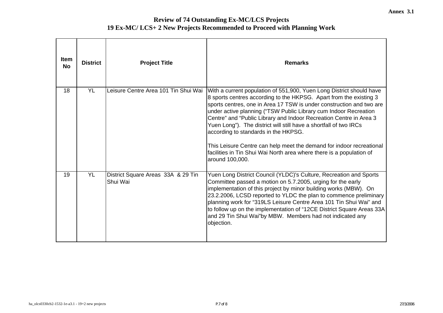| <b>Item</b><br><b>No</b> | <b>District</b> | <b>Project Title</b>                           | <b>Remarks</b>                                                                                                                                                                                                                                                                                                                                                                                                                                                                                                                                                                                                                               |
|--------------------------|-----------------|------------------------------------------------|----------------------------------------------------------------------------------------------------------------------------------------------------------------------------------------------------------------------------------------------------------------------------------------------------------------------------------------------------------------------------------------------------------------------------------------------------------------------------------------------------------------------------------------------------------------------------------------------------------------------------------------------|
| 18                       | <b>YL</b>       | Leisure Centre Area 101 Tin Shui Wai           | With a current population of 551,900, Yuen Long District should have<br>8 sports centres according to the HKPSG. Apart from the existing 3<br>sports centres, one in Area 17 TSW is under construction and two are<br>under active planning ("TSW Public Library cum Indoor Recreation<br>Centre" and "Public Library and Indoor Recreation Centre in Area 3<br>Yuen Long"). The district will still have a shortfall of two IRCs<br>according to standards in the HKPSG.<br>This Leisure Centre can help meet the demand for indoor recreational<br>facilities in Tin Shui Wai North area where there is a population of<br>around 100,000. |
| 19                       | <b>YL</b>       | District Square Areas 33A & 29 Tin<br>Shui Wai | Yuen Long District Council (YLDC)'s Culture, Recreation and Sports<br>Committee passed a motion on 5.7.2005, urging for the early<br>implementation of this project by minor building works (MBW). On<br>23.2.2006, LCSD reported to YLDC the plan to commence preliminary<br>planning work for "319LS Leisure Centre Area 101 Tin Shui Wai" and<br>to follow up on the implementation of "12CE District Square Areas 33A<br>and 29 Tin Shui Wai"by MBW. Members had not indicated any<br>objection.                                                                                                                                         |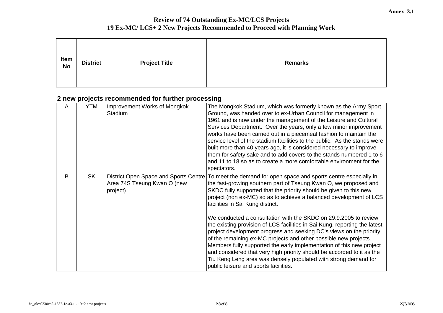| Item<br><b>No</b> | <b>District</b> | <b>Project Title</b> | <b>Remarks</b> |
|-------------------|-----------------|----------------------|----------------|
|                   |                 |                      |                |

# **2 new projects recommended for further processing**

| A | <b>YTM</b> | Improvement Works of Mongkok<br>Stadium | The Mongkok Stadium, which was formerly known as the Army Sport<br>Ground, was handed over to ex-Urban Council for management in<br>1961 and is now under the management of the Leisure and Cultural<br>Services Department. Over the years, only a few minor improvement<br>works have been carried out in a piecemeal fashion to maintain the<br>service level of the stadium facilities to the public. As the stands were<br>built more than 40 years ago, it is considered necessary to improve<br>them for safety sake and to add covers to the stands numbered 1 to 6<br>and 11 to 18 so as to create a more comfortable environment for the<br>spectators.                                                                                                                                                                                                                                                      |
|---|------------|-----------------------------------------|------------------------------------------------------------------------------------------------------------------------------------------------------------------------------------------------------------------------------------------------------------------------------------------------------------------------------------------------------------------------------------------------------------------------------------------------------------------------------------------------------------------------------------------------------------------------------------------------------------------------------------------------------------------------------------------------------------------------------------------------------------------------------------------------------------------------------------------------------------------------------------------------------------------------|
| B | <b>SK</b>  | Area 74S Tseung Kwan O (new<br>project) | District Open Space and Sports Centre To meet the demand for open space and sports centre especially in<br>the fast-growing southern part of Tseung Kwan O, we proposed and<br>SKDC fully supported that the priority should be given to this new<br>project (non ex-MC) so as to achieve a balanced development of LCS<br>facilities in Sai Kung district.<br>We conducted a consultation with the SKDC on 29.9.2005 to review<br>the existing provision of LCS facilities in Sai Kung, reporting the latest<br>project development progress and seeking DC's views on the priority<br>of the remaining ex-MC projects and other possible new projects.<br>Members fully supported the early implementation of this new project<br>and considered that very high priority should be accorded to it as the<br>Tiu Keng Leng area was densely populated with strong demand for<br>public leisure and sports facilities. |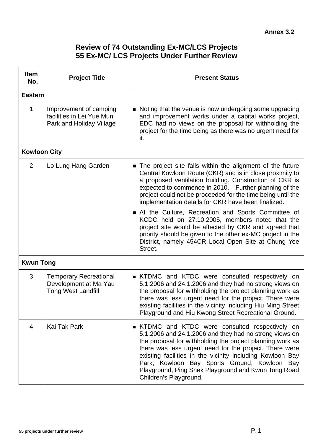## **Review of 74 Outstanding Ex-MC/LCS Projects 55 Ex-MC/ LCS Projects Under Further Review**

| Item<br>No.         | <b>Project Title</b>                                                                | <b>Present Status</b>                                                                                                                                                                                                                                                                                                                                                                                                                          |
|---------------------|-------------------------------------------------------------------------------------|------------------------------------------------------------------------------------------------------------------------------------------------------------------------------------------------------------------------------------------------------------------------------------------------------------------------------------------------------------------------------------------------------------------------------------------------|
| <b>Eastern</b>      |                                                                                     |                                                                                                                                                                                                                                                                                                                                                                                                                                                |
| 1                   | Improvement of camping<br>facilities in Lei Yue Mun<br>Park and Holiday Village     | • Noting that the venue is now undergoing some upgrading<br>and improvement works under a capital works project,<br>EDC had no views on the proposal for withholding the<br>project for the time being as there was no urgent need for<br>it.                                                                                                                                                                                                  |
| <b>Kowloon City</b> |                                                                                     |                                                                                                                                                                                                                                                                                                                                                                                                                                                |
| 2                   | Lo Lung Hang Garden                                                                 | The project site falls within the alignment of the future<br>Central Kowloon Route (CKR) and is in close proximity to<br>a proposed ventilation building. Construction of CKR is<br>expected to commence in 2010. Further planning of the<br>project could not be proceeded for the time being until the<br>implementation details for CKR have been finalized.                                                                                |
|                     |                                                                                     | At the Culture, Recreation and Sports Committee of<br>KCDC held on 27.10.2005, members noted that the<br>project site would be affected by CKR and agreed that<br>priority should be given to the other ex-MC project in the<br>District, namely 454CR Local Open Site at Chung Yee<br>Street.                                                                                                                                                 |
| <b>Kwun Tong</b>    |                                                                                     |                                                                                                                                                                                                                                                                                                                                                                                                                                                |
| 3                   | <b>Temporary Recreational</b><br>Development at Ma Yau<br><b>Tong West Landfill</b> | <b>EXAMPLE KITOM KITOC</b> were consulted respectively on<br>5.1.2006 and 24.1.2006 and they had no strong views on<br>the proposal for withholding the project planning work as<br>there was less urgent need for the project. There were<br>existing facilities in the vicinity including Hiu Ming Street<br>Playground and Hiu Kwong Street Recreational Ground.                                                                            |
| $\overline{4}$      | Kai Tak Park                                                                        | <b>EXAMPLE STAMPLE KITTEC</b> were consulted respectively on<br>5.1.2006 and 24.1.2006 and they had no strong views on<br>the proposal for withholding the project planning work as<br>there was less urgent need for the project. There were<br>existing facilities in the vicinity including Kowloon Bay<br>Park, Kowloon Bay Sports Ground, Kowloon<br>Bay<br>Playground, Ping Shek Playground and Kwun Tong Road<br>Children's Playground. |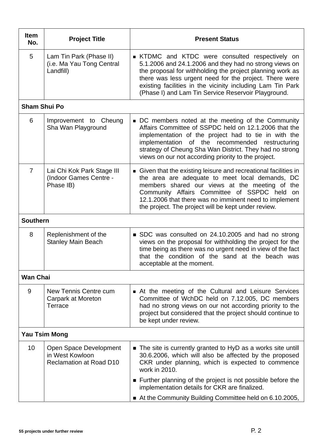| <b>Project Title</b>                                                        | <b>Present Status</b>                                                                                                                                                                                                                                                                                                                                          |  |
|-----------------------------------------------------------------------------|----------------------------------------------------------------------------------------------------------------------------------------------------------------------------------------------------------------------------------------------------------------------------------------------------------------------------------------------------------------|--|
| Lam Tin Park (Phase II)<br>(i.e. Ma Yau Tong Central<br>Landfill)           | <b>EXAMPLE STAMP</b> KTDC were consulted respectively on<br>5.1.2006 and 24.1.2006 and they had no strong views on<br>the proposal for withholding the project planning work as<br>there was less urgent need for the project. There were<br>existing facilities in the vicinity including Lam Tin Park<br>(Phase I) and Lam Tin Service Reservoir Playground. |  |
| <b>Sham Shui Po</b>                                                         |                                                                                                                                                                                                                                                                                                                                                                |  |
| Improvement to Cheung<br>Sha Wan Playground                                 | ■ DC members noted at the meeting of the Community<br>Affairs Committee of SSPDC held on 12.1.2006 that the<br>implementation of the project had to tie in with the<br>implementation of the recommended restructuring<br>strategy of Cheung Sha Wan District. They had no strong<br>views on our not according priority to the project.                       |  |
| Lai Chi Kok Park Stage III<br>(Indoor Games Centre -<br>Phase IB)           | • Given that the existing leisure and recreational facilities in<br>the area are adequate to meet local demands, DC<br>members shared our views at the meeting of the<br>Community Affairs Committee of SSPDC held on<br>12.1.2006 that there was no imminent need to implement<br>the project. The project will be kept under review.                         |  |
| <b>Southern</b>                                                             |                                                                                                                                                                                                                                                                                                                                                                |  |
| Replenishment of the<br><b>Stanley Main Beach</b>                           | ■ SDC was consulted on 24.10.2005 and had no strong<br>views on the proposal for withholding the project for the<br>time being as there was no urgent need in view of the fact<br>that the condition of the sand at the beach was<br>acceptable at the moment.                                                                                                 |  |
| <b>Wan Chai</b>                                                             |                                                                                                                                                                                                                                                                                                                                                                |  |
| New Tennis Centre cum<br><b>Carpark at Moreton</b><br>Terrace               | At the meeting of the Cultural and Leisure Services<br>Committee of WchDC held on 7.12.005, DC members<br>had no strong views on our not according priority to the<br>project but considered that the project should continue to<br>be kept under review.                                                                                                      |  |
| <b>Yau Tsim Mong</b>                                                        |                                                                                                                                                                                                                                                                                                                                                                |  |
| Open Space Development<br>in West Kowloon<br><b>Reclamation at Road D10</b> | • The site is currently granted to HyD as a works site untill<br>30.6.2006, which will also be affected by the proposed<br>CKR under planning, which is expected to commence<br>work in 2010.                                                                                                                                                                  |  |
|                                                                             | ■ Further planning of the project is not possible before the<br>implementation details for CKR are finalized.<br>At the Community Building Committee held on 6.10.2005,                                                                                                                                                                                        |  |
|                                                                             |                                                                                                                                                                                                                                                                                                                                                                |  |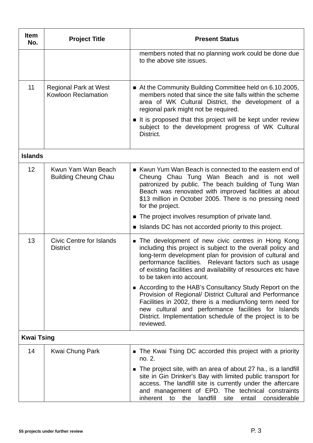| <b>Item</b><br>No. | <b>Project Title</b>                                       | <b>Present Status</b>                                                                                                                                                                                                                                                                                                                              |
|--------------------|------------------------------------------------------------|----------------------------------------------------------------------------------------------------------------------------------------------------------------------------------------------------------------------------------------------------------------------------------------------------------------------------------------------------|
|                    |                                                            | members noted that no planning work could be done due<br>to the above site issues.                                                                                                                                                                                                                                                                 |
| 11                 | <b>Regional Park at West</b><br><b>Kowloon Reclamation</b> | At the Community Building Committee held on 6.10.2005,<br>members noted that since the site falls within the scheme<br>area of WK Cultural District, the development of a<br>regional park might not be required.<br>If is proposed that this project will be kept under review<br>subject to the development progress of WK Cultural<br>District. |
| <b>Islands</b>     |                                                            |                                                                                                                                                                                                                                                                                                                                                    |
| 12                 | Kwun Yam Wan Beach<br><b>Building Cheung Chau</b>          | Kwun Yum Wan Beach is connected to the eastern end of<br>Cheung Chau Tung Wan Beach and is not well<br>patronized by public. The beach building of Tung Wan<br>Beach was renovated with improved facilities at about<br>\$13 million in October 2005. There is no pressing need<br>for the project.                                                |
|                    |                                                            | ■ The project involves resumption of private land.                                                                                                                                                                                                                                                                                                 |
|                    |                                                            | I Islands DC has not accorded priority to this project.                                                                                                                                                                                                                                                                                            |
| 13                 | Civic Centre for Islands<br><b>District</b>                | The development of new civic centres in Hong Kong<br>including this project is subject to the overall policy and<br>long-term development plan for provision of cultural and<br>performance facilities. Relevant factors such as usage<br>of existing facilities and availability of resources etc have<br>to be taken into account.               |
|                    |                                                            | ■ According to the HAB's Consultancy Study Report on the<br>Provision of Regional/ District Cultural and Performance<br>Facilities in 2002, there is a medium/long term need for<br>new cultural and performance facilities for Islands<br>District. Implementation schedule of the project is to be<br>reviewed.                                  |
| <b>Kwai Tsing</b>  |                                                            |                                                                                                                                                                                                                                                                                                                                                    |
| 14                 | Kwai Chung Park                                            | The Kwai Tsing DC accorded this project with a priority<br>no. 2.                                                                                                                                                                                                                                                                                  |
|                    |                                                            | • The project site, with an area of about 27 ha., is a landfill<br>site in Gin Drinker's Bay with limited public transport for<br>access. The landfill site is currently under the aftercare<br>and management of EPD. The technical constraints<br>inherent<br>landfill<br>entail<br>considerable<br>to<br>the<br>site                            |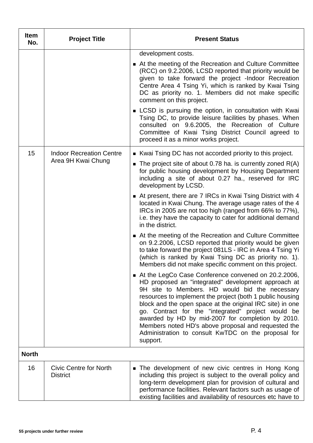| Item<br>No.  | <b>Project Title</b>                                  | <b>Present Status</b>                                                                                                                                                                                                                                                                                                                                                                                                                                                                                                                                                                                                  |
|--------------|-------------------------------------------------------|------------------------------------------------------------------------------------------------------------------------------------------------------------------------------------------------------------------------------------------------------------------------------------------------------------------------------------------------------------------------------------------------------------------------------------------------------------------------------------------------------------------------------------------------------------------------------------------------------------------------|
|              |                                                       | development costs.<br>■ At the meeting of the Recreation and Culture Committee<br>(RCC) on 9.2.2006, LCSD reported that priority would be<br>given to take forward the project -Indoor Recreation<br>Centre Area 4 Tsing Yi, which is ranked by Kwai Tsing<br>DC as priority no. 1. Members did not make specific<br>comment on this project.<br>■ LCSD is pursuing the option, in consultation with Kwai<br>Tsing DC, to provide leisure facilities by phases. When<br>consulted on 9.6.2005, the Recreation of Culture<br>Committee of Kwai Tsing District Council agreed to<br>proceed it as a minor works project. |
| 15           | <b>Indoor Recreation Centre</b><br>Area 9H Kwai Chung | Kwai Tsing DC has not accorded priority to this project.<br>The project site of about 0.78 ha. is currently zoned $R(A)$<br>$\blacksquare$<br>for public housing development by Housing Department<br>including a site of about 0.27 ha., reserved for IRC<br>development by LCSD.                                                                                                                                                                                                                                                                                                                                     |
|              |                                                       | At present, there are 7 IRCs in Kwai Tsing District with 4<br>located in Kwai Chung. The average usage rates of the 4<br>IRCs in 2005 are not too high (ranged from 66% to 77%),<br>i.e. they have the capacity to cater for additional demand<br>in the district.                                                                                                                                                                                                                                                                                                                                                     |
|              |                                                       | $\blacksquare$ At the meeting of the Recreation and Culture Committee<br>on 9.2.2006, LCSD reported that priority would be given<br>to take forward the project 081LS - IRC in Area 4 Tsing Yi<br>(which is ranked by Kwai Tsing DC as priority no. 1).<br>Members did not make specific comment on this project.                                                                                                                                                                                                                                                                                                      |
|              |                                                       | At the LegCo Case Conference convened on 20.2.2006,<br>HD proposed an "integrated" development approach at<br>9H site to Members. HD would bid the necessary<br>resources to implement the project (both 1 public housing<br>block and the open space at the original IRC site) in one<br>go. Contract for the "integrated" project would be<br>awarded by HD by mid-2007 for completion by 2010.<br>Members noted HD's above proposal and requested the<br>Administration to consult KwTDC on the proposal for<br>support.                                                                                            |
| <b>North</b> |                                                       |                                                                                                                                                                                                                                                                                                                                                                                                                                                                                                                                                                                                                        |
| 16           | Civic Centre for North<br><b>District</b>             | The development of new civic centres in Hong Kong<br>including this project is subject to the overall policy and<br>long-term development plan for provision of cultural and<br>performance facilities. Relevant factors such as usage of<br>existing facilities and availability of resources etc have to                                                                                                                                                                                                                                                                                                             |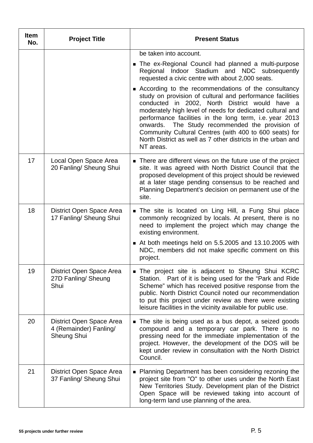| <b>Item</b><br>No. | <b>Project Title</b>                                                     | <b>Present Status</b>                                                                                                                                                                                                                                                                                                                                                                                                                                                                  |
|--------------------|--------------------------------------------------------------------------|----------------------------------------------------------------------------------------------------------------------------------------------------------------------------------------------------------------------------------------------------------------------------------------------------------------------------------------------------------------------------------------------------------------------------------------------------------------------------------------|
|                    |                                                                          | be taken into account.                                                                                                                                                                                                                                                                                                                                                                                                                                                                 |
|                    |                                                                          | The ex-Regional Council had planned a multi-purpose<br>Regional Indoor Stadium and NDC subsequently<br>requested a civic centre with about 2,000 seats.                                                                                                                                                                                                                                                                                                                                |
|                    |                                                                          | ■ According to the recommendations of the consultancy<br>study on provision of cultural and performance facilities<br>conducted in 2002, North District would have a<br>moderately high level of needs for dedicated cultural and<br>performance facilities in the long term, i.e. year 2013<br>onwards. The Study recommended the provision of<br>Community Cultural Centres (with 400 to 600 seats) for<br>North District as well as 7 other districts in the urban and<br>NT areas. |
| 17                 | Local Open Space Area<br>20 Fanling/ Sheung Shui                         | • There are different views on the future use of the project<br>site. It was agreed with North District Council that the<br>proposed development of this project should be reviewed<br>at a later stage pending consensus to be reached and<br>Planning Department's decision on permanent use of the<br>site.                                                                                                                                                                         |
| 18                 | District Open Space Area<br>17 Fanling/ Sheung Shui                      | The site is located on Ling Hill, a Fung Shui place<br>commonly recognized by locals. At present, there is no<br>need to implement the project which may change the<br>existing environment.                                                                                                                                                                                                                                                                                           |
|                    |                                                                          | At both meetings held on 5.5.2005 and 13.10.2005 with<br>NDC, members did not make specific comment on this<br>project.                                                                                                                                                                                                                                                                                                                                                                |
| 19                 | District Open Space Area<br>27D Fanling/ Sheung<br>Shui                  | The project site is adjacent to Sheung Shui KCRC<br>Station. Part of it is being used for the "Park and Ride"<br>Scheme" which has received positive response from the<br>public. North District Council noted our recommendation<br>to put this project under review as there were existing<br>leisure facilities in the vicinity available for public use.                                                                                                                           |
| 20                 | District Open Space Area<br>4 (Remainder) Fanling/<br><b>Sheung Shui</b> | The site is being used as a bus depot, a seized goods<br>compound and a temporary car park. There is no<br>pressing need for the immediate implementation of the<br>project. However, the development of the DOS will be<br>kept under review in consultation with the North District<br>Council.                                                                                                                                                                                      |
| 21                 | District Open Space Area<br>37 Fanling/ Sheung Shui                      | • Planning Department has been considering rezoning the<br>project site from "O" to other uses under the North East<br>New Territories Study. Development plan of the District<br>Open Space will be reviewed taking into account of<br>long-term land use planning of the area.                                                                                                                                                                                                       |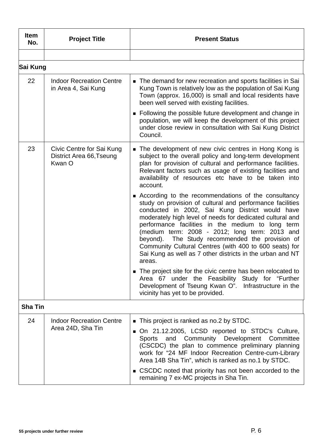| <b>Item</b><br>No. | <b>Project Title</b>                                            | <b>Present Status</b>                                                                                                                                                                                                                                                                                                                                                                                                                                                                                                         |
|--------------------|-----------------------------------------------------------------|-------------------------------------------------------------------------------------------------------------------------------------------------------------------------------------------------------------------------------------------------------------------------------------------------------------------------------------------------------------------------------------------------------------------------------------------------------------------------------------------------------------------------------|
|                    |                                                                 |                                                                                                                                                                                                                                                                                                                                                                                                                                                                                                                               |
| Sai Kung           |                                                                 |                                                                                                                                                                                                                                                                                                                                                                                                                                                                                                                               |
| 22                 | <b>Indoor Recreation Centre</b><br>in Area 4, Sai Kung          | • The demand for new recreation and sports facilities in Sai<br>Kung Town is relatively low as the population of Sai Kung<br>Town (approx. 16,000) is small and local residents have<br>been well served with existing facilities.                                                                                                                                                                                                                                                                                            |
|                    |                                                                 | • Following the possible future development and change in<br>population, we will keep the development of this project<br>under close review in consultation with Sai Kung District<br>Council.                                                                                                                                                                                                                                                                                                                                |
| 23                 | Civic Centre for Sai Kung<br>District Area 66, Tseung<br>Kwan O | ■ The development of new civic centres in Hong Kong is<br>subject to the overall policy and long-term development<br>plan for provision of cultural and performance facilities.<br>Relevant factors such as usage of existing facilities and<br>availability of resources etc have to be taken into<br>account.                                                                                                                                                                                                               |
|                    |                                                                 | ■ According to the recommendations of the consultancy<br>study on provision of cultural and performance facilities<br>conducted in 2002, Sai Kung District would have<br>moderately high level of needs for dedicated cultural and<br>performance facilities in the medium to long term<br>(medium term: 2008 - 2012; long term: 2013 and<br>beyond). The Study recommended the provision of<br>Community Cultural Centres (with 400 to 600 seats) for<br>Sai Kung as well as 7 other districts in the urban and NT<br>areas. |
|                    |                                                                 | • The project site for the civic centre has been relocated to<br>Area 67 under the Feasibility Study for "Further<br>Development of Tseung Kwan O". Infrastructure in the<br>vicinity has yet to be provided.                                                                                                                                                                                                                                                                                                                 |
| <b>Sha Tin</b>     |                                                                 |                                                                                                                                                                                                                                                                                                                                                                                                                                                                                                                               |
| 24                 | <b>Indoor Recreation Centre</b><br>Area 24D, Sha Tin            | • This project is ranked as no.2 by STDC.<br>On 21.12.2005, LCSD reported to STDC's Culture,<br>and Community Development Committee<br><b>Sports</b><br>(CSCDC) the plan to commence preliminary planning<br>work for "24 MF Indoor Recreation Centre-cum-Library<br>Area 14B Sha Tin", which is ranked as no.1 by STDC.<br>■ CSCDC noted that priority has not been accorded to the<br>remaining 7 ex-MC projects in Sha Tin.                                                                                                |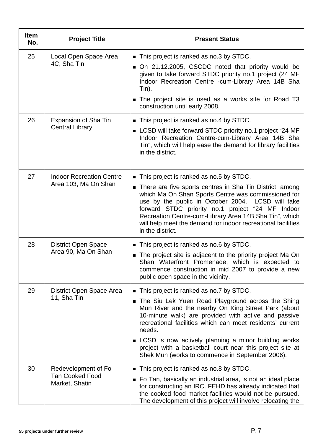| <b>Item</b><br>No. | <b>Project Title</b>                     | <b>Present Status</b>                                                                                                                                                                                                                                                                                                                                                    |
|--------------------|------------------------------------------|--------------------------------------------------------------------------------------------------------------------------------------------------------------------------------------------------------------------------------------------------------------------------------------------------------------------------------------------------------------------------|
| 25                 | Local Open Space Area<br>4C, Sha Tin     | This project is ranked as no.3 by STDC.                                                                                                                                                                                                                                                                                                                                  |
|                    |                                          | On 21.12.2005, CSCDC noted that priority would be<br>given to take forward STDC priority no.1 project (24 MF<br>Indoor Recreation Centre -cum-Library Area 14B Sha<br>Tin).                                                                                                                                                                                              |
|                    |                                          | The project site is used as a works site for Road T3<br>construction until early 2008.                                                                                                                                                                                                                                                                                   |
| 26                 | Expansion of Sha Tin                     | • This project is ranked as no.4 by STDC.                                                                                                                                                                                                                                                                                                                                |
|                    | <b>Central Library</b>                   | LCSD will take forward STDC priority no.1 project "24 MF<br>Indoor Recreation Centre-cum-Library Area 14B Sha<br>Tin", which will help ease the demand for library facilities<br>in the district.                                                                                                                                                                        |
| 27                 | <b>Indoor Recreation Centre</b>          | This project is ranked as no.5 by STDC.                                                                                                                                                                                                                                                                                                                                  |
|                    | Area 103, Ma On Shan                     | ■ There are five sports centres in Sha Tin District, among<br>which Ma On Shan Sports Centre was commissioned for<br>use by the public in October 2004. LCSD will take<br>forward STDC priority no.1 project "24 MF Indoor<br>Recreation Centre-cum-Library Area 14B Sha Tin", which<br>will help meet the demand for indoor recreational facilities<br>in the district. |
| 28                 | <b>District Open Space</b>               | This project is ranked as no.6 by STDC.                                                                                                                                                                                                                                                                                                                                  |
|                    | Area 90, Ma On Shan                      | ■ The project site is adjacent to the priority project Ma On<br>Shan Waterfront Promenade, which is expected to<br>commence construction in mid 2007 to provide a new<br>public open space in the vicinity.                                                                                                                                                              |
| 29                 | District Open Space Area<br>11, Sha Tin  | • This project is ranked as no.7 by STDC.                                                                                                                                                                                                                                                                                                                                |
|                    |                                          | The Siu Lek Yuen Road Playground across the Shing<br>$\blacksquare$<br>Mun River and the nearby On King Street Park (about<br>10-minute walk) are provided with active and passive<br>recreational facilities which can meet residents' current<br>needs.                                                                                                                |
|                    |                                          | LCSD is now actively planning a minor building works<br>project with a basketball court near this project site at<br>Shek Mun (works to commence in September 2006).                                                                                                                                                                                                     |
| 30                 | Redevelopment of Fo                      | This project is ranked as no.8 by STDC.                                                                                                                                                                                                                                                                                                                                  |
|                    | <b>Tan Cooked Food</b><br>Market, Shatin | Fo Tan, basically an industrial area, is not an ideal place<br>for constructing an IRC. FEHD has already indicated that<br>the cooked food market facilities would not be pursued.<br>The development of this project will involve relocating the                                                                                                                        |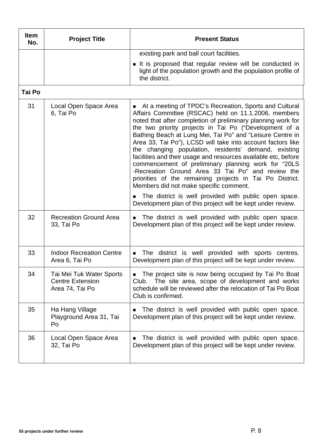| <b>Item</b><br>No. | <b>Project Title</b>                                                   | <b>Present Status</b>                                                                                                                                                                                                                                                                                                                                                                                                                                                                                                                                                                                                                                                                                                                                                                                                                                      |
|--------------------|------------------------------------------------------------------------|------------------------------------------------------------------------------------------------------------------------------------------------------------------------------------------------------------------------------------------------------------------------------------------------------------------------------------------------------------------------------------------------------------------------------------------------------------------------------------------------------------------------------------------------------------------------------------------------------------------------------------------------------------------------------------------------------------------------------------------------------------------------------------------------------------------------------------------------------------|
|                    |                                                                        | existing park and ball court facilities.                                                                                                                                                                                                                                                                                                                                                                                                                                                                                                                                                                                                                                                                                                                                                                                                                   |
|                    |                                                                        | It is proposed that regular review will be conducted in<br>light of the population growth and the population profile of<br>the district.                                                                                                                                                                                                                                                                                                                                                                                                                                                                                                                                                                                                                                                                                                                   |
| Tai Po             |                                                                        |                                                                                                                                                                                                                                                                                                                                                                                                                                                                                                                                                                                                                                                                                                                                                                                                                                                            |
| 31                 | Local Open Space Area<br>6, Tai Po                                     | At a meeting of TPDC's Recreation, Sports and Cultural<br>$\blacksquare$<br>Affairs Committee (RSCAC) held on 11.1.2006, members<br>noted that after completion of preliminary planning work for<br>the two priority projects in Tai Po ("Development of a<br>Bathing Beach at Lung Mei, Tai Po" and "Leisure Centre in<br>Area 33, Tai Po"), LCSD will take into account factors like<br>the changing population, residents' demand, existing<br>facilities and their usage and resources available etc, before<br>commencement of preliminary planning work for "20LS<br>-Recreation Ground Area 33 Tai Po" and review the<br>priorities of the remaining projects in Tai Po District.<br>Members did not make specific comment.<br>The district is well provided with public open space.<br>Development plan of this project will be kept under review. |
| 32                 | <b>Recreation Ground Area</b><br>33, Tai Po                            | The district is well provided with public open space.<br>$\blacksquare$<br>Development plan of this project will be kept under review.                                                                                                                                                                                                                                                                                                                                                                                                                                                                                                                                                                                                                                                                                                                     |
| 33                 | <b>Indoor Recreation Centre</b><br>Area 6, Tai Po                      | The district is well provided with sports centres.<br>Development plan of this project will be kept under review.                                                                                                                                                                                                                                                                                                                                                                                                                                                                                                                                                                                                                                                                                                                                          |
| 34                 | Tai Mei Tuk Water Sports<br><b>Centre Extension</b><br>Area 74, Tai Po | • The project site is now being occupied by Tai Po Boat<br>Club. The site area, scope of development and works<br>schedule will be reviewed after the relocation of Tai Po Boat<br>Club is confirmed.                                                                                                                                                                                                                                                                                                                                                                                                                                                                                                                                                                                                                                                      |
| 35                 | Ha Hang Village<br>Playground Area 31, Tai<br>Po                       | The district is well provided with public open space.<br>$\blacksquare$<br>Development plan of this project will be kept under review.                                                                                                                                                                                                                                                                                                                                                                                                                                                                                                                                                                                                                                                                                                                     |
| 36                 | Local Open Space Area<br>32, Tai Po                                    | The district is well provided with public open space.<br>п<br>Development plan of this project will be kept under review.                                                                                                                                                                                                                                                                                                                                                                                                                                                                                                                                                                                                                                                                                                                                  |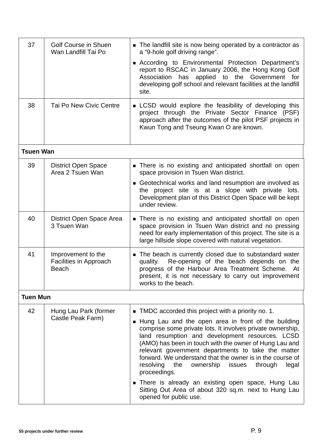| 37               | <b>Golf Course in Shuen</b><br>Wan Landfill Tai Po           | • The landfill site is now being operated by a contractor as<br>a "9-hole golf driving range".<br>According to Environmental Protection Department's<br>report to RSCAC in January 2006, the Hong Kong Golf<br>Association has applied to the Government for<br>developing golf school and relevant facilities at the landfill<br>site.                                                                                                                                                                                                                                                                                                    |
|------------------|--------------------------------------------------------------|--------------------------------------------------------------------------------------------------------------------------------------------------------------------------------------------------------------------------------------------------------------------------------------------------------------------------------------------------------------------------------------------------------------------------------------------------------------------------------------------------------------------------------------------------------------------------------------------------------------------------------------------|
| 38               | <b>Tai Po New Civic Centre</b>                               | <b>EXECO</b> would explore the feasibility of developing this<br>project through the Private Sector Finance (PSF)<br>approach after the outcomes of the pilot PSF projects in<br>Kwun Tong and Tseung Kwan O are known.                                                                                                                                                                                                                                                                                                                                                                                                                    |
| <b>Tsuen Wan</b> |                                                              |                                                                                                                                                                                                                                                                                                                                                                                                                                                                                                                                                                                                                                            |
| 39               | <b>District Open Space</b><br>Area 2 Tsuen Wan               | There is no existing and anticipated shortfall on open<br>space provision in Tsuen Wan district.                                                                                                                                                                                                                                                                                                                                                                                                                                                                                                                                           |
|                  |                                                              | Geotechnical works and land resumption are involved as<br>the project site is at a slope with private lots.<br>Development plan of this District Open Space will be kept<br>under review.                                                                                                                                                                                                                                                                                                                                                                                                                                                  |
| 40               | District Open Space Area<br>3 Tsuen Wan                      | There is no existing and anticipated shortfall on open<br>space provision in Tsuen Wan district and no pressing<br>need for early implementation of this project. The site is a<br>large hillside slope covered with natural vegetation.                                                                                                                                                                                                                                                                                                                                                                                                   |
| 41               | Improvement to the<br>Facilities in Approach<br><b>Beach</b> | The beach is currently closed due to substandard water<br>Re-opening of the beach depends on the<br>quality.<br>progress of the Harbour Area Treatment Scheme. At<br>present, it is not necessary to carry out improvement<br>works to the beach.                                                                                                                                                                                                                                                                                                                                                                                          |
| <b>Tuen Mun</b>  |                                                              |                                                                                                                                                                                                                                                                                                                                                                                                                                                                                                                                                                                                                                            |
| 42               | Hung Lau Park (former<br>Castle Peak Farm)                   | $\blacksquare$ TMDC accorded this project with a priority no. 1.<br>■ Hung Lau and the open area in front of the building<br>comprise some private lots. It involves private ownership,<br>land resumption and development resources. LCSD<br>(AMO) has been in touch with the owner of Hung Lau and<br>relevant government departments to take the matter<br>forward. We understand that the owner is in the course of<br>resolving the<br>ownership<br>issues<br>through<br>legal<br>proceedings.<br>There is already an existing open space, Hung Lau<br>Sitting Out Area of about 320 sq.m. next to Hung Lau<br>opened for public use. |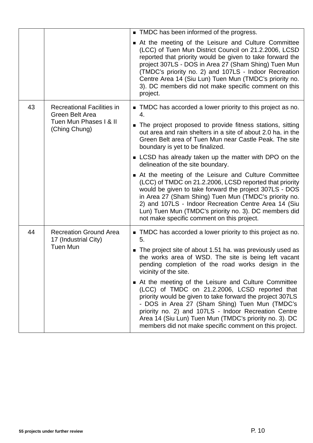|                                                                                                       |                                                                          | • TMDC has been informed of the progress.                                                                                                                                                                                                                                                                                                                                                                                |
|-------------------------------------------------------------------------------------------------------|--------------------------------------------------------------------------|--------------------------------------------------------------------------------------------------------------------------------------------------------------------------------------------------------------------------------------------------------------------------------------------------------------------------------------------------------------------------------------------------------------------------|
|                                                                                                       |                                                                          | At the meeting of the Leisure and Culture Committee<br>(LCC) of Tuen Mun District Council on 21.2.2006, LCSD<br>reported that priority would be given to take forward the<br>project 307LS - DOS in Area 27 (Sham Shing) Tuen Mun<br>(TMDC's priority no. 2) and 107LS - Indoor Recreation<br>Centre Area 14 (Siu Lun) Tuen Mun (TMDC's priority no.<br>3). DC members did not make specific comment on this<br>project. |
| 43<br><b>Recreational Facilities in</b><br>Green Belt Area<br>Tuen Mun Phases I & II<br>(Ching Chung) |                                                                          | TMDC has accorded a lower priority to this project as no.<br>4.<br>• The project proposed to provide fitness stations, sitting<br>out area and rain shelters in a site of about 2.0 ha. in the<br>Green Belt area of Tuen Mun near Castle Peak. The site<br>boundary is yet to be finalized.                                                                                                                             |
|                                                                                                       |                                                                          | LCSD has already taken up the matter with DPO on the<br>delineation of the site boundary.                                                                                                                                                                                                                                                                                                                                |
|                                                                                                       |                                                                          | At the meeting of the Leisure and Culture Committee<br>(LCC) of TMDC on 21.2.2006, LCSD reported that priority<br>would be given to take forward the project 307LS - DOS<br>in Area 27 (Sham Shing) Tuen Mun (TMDC's priority no.<br>2) and 107LS - Indoor Recreation Centre Area 14 (Siu<br>Lun) Tuen Mun (TMDC's priority no. 3). DC members did<br>not make specific comment on this project.                         |
| 44                                                                                                    | <b>Recreation Ground Area</b><br>17 (Industrial City)<br><b>Tuen Mun</b> | TMDC has accorded a lower priority to this project as no.<br>5.                                                                                                                                                                                                                                                                                                                                                          |
|                                                                                                       |                                                                          | The project site of about 1.51 ha. was previously used as<br>the works area of WSD. The site is being left vacant<br>pending completion of the road works design in the<br>vicinity of the site.                                                                                                                                                                                                                         |
|                                                                                                       |                                                                          | At the meeting of the Leisure and Culture Committee<br>(LCC) of TMDC on 21.2.2006, LCSD reported that<br>priority would be given to take forward the project 307LS<br>- DOS in Area 27 (Sham Shing) Tuen Mun (TMDC's<br>priority no. 2) and 107LS - Indoor Recreation Centre<br>Area 14 (Siu Lun) Tuen Mun (TMDC's priority no. 3). DC<br>members did not make specific comment on this project.                         |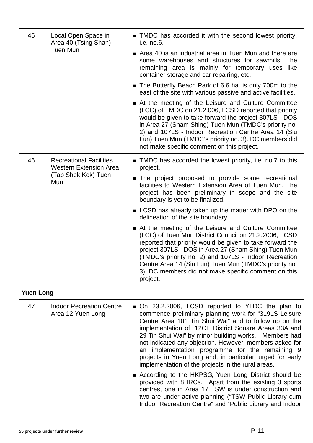| 45               | Local Open Space in<br>Area 40 (Tsing Shan)<br><b>Tuen Mun</b>                                | TMDC has accorded it with the second lowest priority,<br>i.e. no.6.                                                                                                                                                                                                                                                                                                                                                                                                                                                    |
|------------------|-----------------------------------------------------------------------------------------------|------------------------------------------------------------------------------------------------------------------------------------------------------------------------------------------------------------------------------------------------------------------------------------------------------------------------------------------------------------------------------------------------------------------------------------------------------------------------------------------------------------------------|
|                  |                                                                                               | Area 40 is an industrial area in Tuen Mun and there are<br>some warehouses and structures for sawmills. The<br>remaining area is mainly for temporary uses like<br>container storage and car repairing, etc.                                                                                                                                                                                                                                                                                                           |
|                  |                                                                                               | The Butterfly Beach Park of 6.6 ha. is only 700m to the<br>east of the site with various passive and active facilities.                                                                                                                                                                                                                                                                                                                                                                                                |
|                  |                                                                                               | At the meeting of the Leisure and Culture Committee<br>(LCC) of TMDC on 21.2.006, LCSD reported that priority<br>would be given to take forward the project 307LS - DOS<br>in Area 27 (Sham Shing) Tuen Mun (TMDC's priority no.<br>2) and 107LS - Indoor Recreation Centre Area 14 (Siu<br>Lun) Tuen Mun (TMDC's priority no. 3). DC members did<br>not make specific comment on this project.                                                                                                                        |
| 46               | <b>Recreational Facilities</b><br><b>Western Extension Area</b><br>(Tap Shek Kok) Tuen<br>Mun | • TMDC has accorded the lowest priority, i.e. no.7 to this<br>project.                                                                                                                                                                                                                                                                                                                                                                                                                                                 |
|                  |                                                                                               | The project proposed to provide some recreational<br>facilities to Western Extension Area of Tuen Mun. The<br>project has been preliminary in scope and the site<br>boundary is yet to be finalized.                                                                                                                                                                                                                                                                                                                   |
|                  |                                                                                               | ■ LCSD has already taken up the matter with DPO on the<br>delineation of the site boundary.                                                                                                                                                                                                                                                                                                                                                                                                                            |
|                  |                                                                                               | At the meeting of the Leisure and Culture Committee<br>(LCC) of Tuen Mun District Council on 21.2.2006, LCSD<br>reported that priority would be given to take forward the<br>project 307LS - DOS in Area 27 (Sham Shing) Tuen Mun<br>(TMDC's priority no. 2) and 107LS - Indoor Recreation<br>Centre Area 14 (Siu Lun) Tuen Mun (TMDC's priority no.<br>3). DC members did not make specific comment on this<br>project.                                                                                               |
| <b>Yuen Long</b> |                                                                                               |                                                                                                                                                                                                                                                                                                                                                                                                                                                                                                                        |
| 47               | <b>Indoor Recreation Centre</b><br>Area 12 Yuen Long                                          | • On 23.2.2006, LCSD reported to YLDC the plan to<br>commence preliminary planning work for "319LS Leisure<br>Centre Area 101 Tin Shui Wai" and to follow up on the<br>implementation of "12CE District Square Areas 33A and<br>29 Tin Shui Wai" by minor building works. Members had<br>not indicated any objection. However, members asked for<br>an implementation programme for the remaining 9<br>projects in Yuen Long and, in particular, urged for early<br>implementation of the projects in the rural areas. |
|                  |                                                                                               | ■ According to the HKPSG, Yuen Long District should be<br>provided with 8 IRCs. Apart from the existing 3 sports<br>centres, one in Area 17 TSW is under construction and<br>two are under active planning ("TSW Public Library cum<br>Indoor Recreation Centre" and "Public Library and Indoor                                                                                                                                                                                                                        |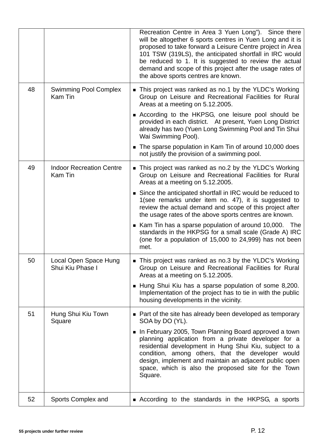|    |                                            | Recreation Centre in Area 3 Yuen Long"). Since there<br>will be altogether 6 sports centres in Yuen Long and it is<br>proposed to take forward a Leisure Centre project in Area<br>101 TSW (319LS), the anticipated shortfall in IRC would<br>be reduced to 1. It is suggested to review the actual<br>demand and scope of this project after the usage rates of<br>the above sports centres are known. |
|----|--------------------------------------------|---------------------------------------------------------------------------------------------------------------------------------------------------------------------------------------------------------------------------------------------------------------------------------------------------------------------------------------------------------------------------------------------------------|
| 48 | <b>Swimming Pool Complex</b><br>Kam Tin    | This project was ranked as no.1 by the YLDC's Working<br>Group on Leisure and Recreational Facilities for Rural<br>Areas at a meeting on 5.12.2005.                                                                                                                                                                                                                                                     |
|    |                                            | ■ According to the HKPSG, one leisure pool should be<br>provided in each district. At present, Yuen Long District<br>already has two (Yuen Long Swimming Pool and Tin Shui<br>Wai Swimming Pool).                                                                                                                                                                                                       |
|    |                                            | The sparse population in Kam Tin of around 10,000 does<br>not justify the provision of a swimming pool.                                                                                                                                                                                                                                                                                                 |
| 49 | <b>Indoor Recreation Centre</b><br>Kam Tin | This project was ranked as no.2 by the YLDC's Working<br>Group on Leisure and Recreational Facilities for Rural<br>Areas at a meeting on 5.12.2005.                                                                                                                                                                                                                                                     |
|    |                                            | ■ Since the anticipated shortfall in IRC would be reduced to<br>1(see remarks under item no. 47), it is suggested to<br>review the actual demand and scope of this project after<br>the usage rates of the above sports centres are known.                                                                                                                                                              |
|    |                                            | ■ Kam Tin has a sparse population of around 10,000. The<br>standards in the HKPSG for a small scale (Grade A) IRC<br>(one for a population of 15,000 to 24,999) has not been<br>met.                                                                                                                                                                                                                    |
| 50 | Local Open Space Hung<br>Shui Kiu Phase I  | This project was ranked as no.3 by the YLDC's Working<br>Group on Leisure and Recreational Facilities for Rural<br>Areas at a meeting on 5.12.2005.                                                                                                                                                                                                                                                     |
|    |                                            | ■ Hung Shui Kiu has a sparse population of some 8,200.<br>Implementation of the project has to tie in with the public<br>housing developments in the vicinity.                                                                                                                                                                                                                                          |
| 51 | Hung Shui Kiu Town<br>Square               | • Part of the site has already been developed as temporary<br>SOA by DO (YL).                                                                                                                                                                                                                                                                                                                           |
|    |                                            | In February 2005, Town Planning Board approved a town<br>planning application from a private developer for a<br>residential development in Hung Shui Kiu, subject to a<br>condition, among others, that the developer would<br>design, implement and maintain an adjacent public open<br>space, which is also the proposed site for the Town<br>Square.                                                 |
| 52 | Sports Complex and                         | ■ According to the standards in the HKPSG, a sports                                                                                                                                                                                                                                                                                                                                                     |